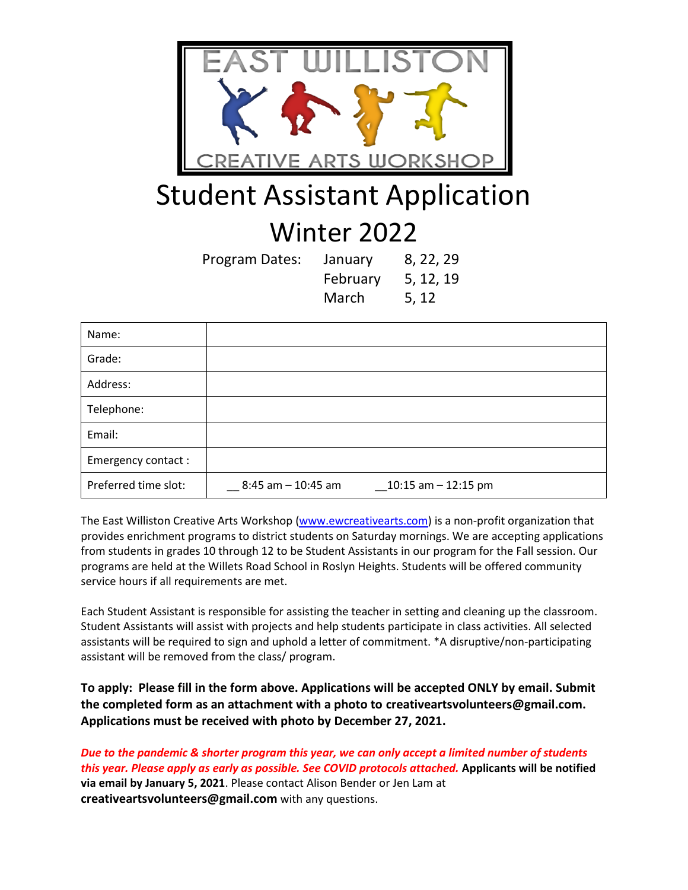

## Student Assistant Application

## Winter 2022

| Program Dates: | January  | 8, 22, 29 |
|----------------|----------|-----------|
|                | February | 5, 12, 19 |
|                | March    | 5, 12     |

| Name:                |                                               |
|----------------------|-----------------------------------------------|
| Grade:               |                                               |
| Address:             |                                               |
| Telephone:           |                                               |
| Email:               |                                               |
| Emergency contact:   |                                               |
| Preferred time slot: | 8:45 am - 10:45 am<br>$\_10:15$ am - 12:15 pm |

The East Williston Creative Arts Workshop [\(www.ewcreativearts.com\)](http://www.ewcreativearts.com/) is a non-profit organization that provides enrichment programs to district students on Saturday mornings. We are accepting applications from students in grades 10 through 12 to be Student Assistants in our program for the Fall session. Our programs are held at the Willets Road School in Roslyn Heights. Students will be offered community service hours if all requirements are met.

Each Student Assistant is responsible for assisting the teacher in setting and cleaning up the classroom. Student Assistants will assist with projects and help students participate in class activities. All selected assistants will be required to sign and uphold a letter of commitment. \*A disruptive/non-participating assistant will be removed from the class/ program.

**To apply: Please fill in the form above. Applications will be accepted ONLY by email. Submit the completed form as an attachment with a photo to creativeartsvolunteers@gmail.com. Applications must be received with photo by December 27, 2021.** 

*Due to the pandemic & shorter program this year, we can only accept a limited number of students this year. Please apply as early as possible. See COVID protocols attached.* **Applicants will be notified via email by January 5, 2021**. Please contact Alison Bender or Jen Lam at **creativeartsvolunteers@gmail.com** with any questions.